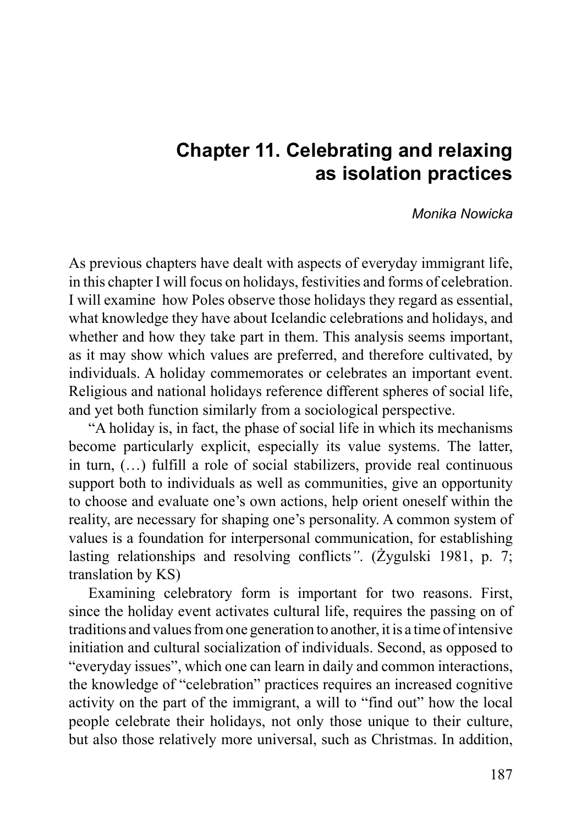# **Chapter 11. Celebrating and relaxing as isolation practices**

#### *Monika Nowicka*

As previous chapters have dealt with aspects of everyday immigrant life, in this chapter I will focus on holidays, festivities and forms of celebration. I will examine how Poles observe those holidays they regard as essential, what knowledge they have about Icelandic celebrations and holidays, and whether and how they take part in them. This analysis seems important, as it may show which values are preferred, and therefore cultivated, by individuals. A holiday commemorates or celebrates an important event. Religious and national holidays reference different spheres of social life, and yet both function similarly from a sociological perspective.

"A holiday is, in fact, the phase of social life in which its mechanisms become particularly explicit, especially its value systems. The latter, in turn, (…) fulfill a role of social stabilizers, provide real continuous support both to individuals as well as communities, give an opportunity to choose and evaluate one's own actions, help orient oneself within the reality, are necessary for shaping one's personality. A common system of values is a foundation for interpersonal communication, for establishing lasting relationships and resolving conflicts*"*. (Żygulski 1981, p. 7; translation by KS)

Examining celebratory form is important for two reasons. First, since the holiday event activates cultural life, requires the passing on of traditions and values from one generation to another, it is a time of intensive initiation and cultural socialization of individuals. Second, as opposed to "everyday issues", which one can learn in daily and common interactions, the knowledge of "celebration" practices requires an increased cognitive activity on the part of the immigrant, a will to "find out" how the local people celebrate their holidays, not only those unique to their culture, but also those relatively more universal, such as Christmas. In addition,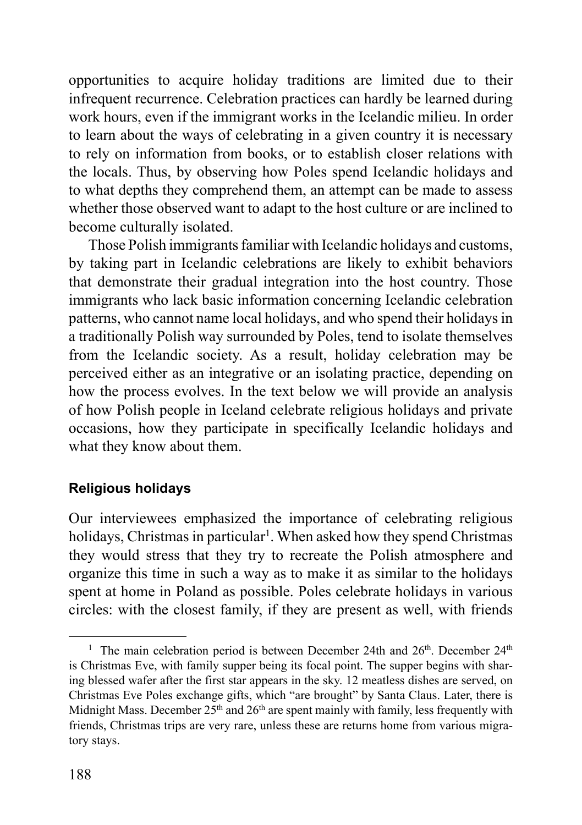opportunities to acquire holiday traditions are limited due to their infrequent recurrence. Celebration practices can hardly be learned during work hours, even if the immigrant works in the Icelandic milieu. In order to learn about the ways of celebrating in a given country it is necessary to rely on information from books, or to establish closer relations with the locals. Thus, by observing how Poles spend Icelandic holidays and to what depths they comprehend them, an attempt can be made to assess whether those observed want to adapt to the host culture or are inclined to become culturally isolated.

Those Polish immigrants familiar with Icelandic holidays and customs, by taking part in Icelandic celebrations are likely to exhibit behaviors that demonstrate their gradual integration into the host country. Those immigrants who lack basic information concerning Icelandic celebration patterns, who cannot name local holidays, and who spend their holidays in a traditionally Polish way surrounded by Poles, tend to isolate themselves from the Icelandic society. As a result, holiday celebration may be perceived either as an integrative or an isolating practice, depending on how the process evolves. In the text below we will provide an analysis of how Polish people in Iceland celebrate religious holidays and private occasions, how they participate in specifically Icelandic holidays and what they know about them.

## **Religious holidays**

Our interviewees emphasized the importance of celebrating religious holidays, Christmas in particular<sup>1</sup>. When asked how they spend Christmas they would stress that they try to recreate the Polish atmosphere and organize this time in such a way as to make it as similar to the holidays spent at home in Poland as possible. Poles celebrate holidays in various circles: with the closest family, if they are present as well, with friends

<sup>&</sup>lt;sup>1</sup> The main celebration period is between December 24th and  $26<sup>th</sup>$ . December  $24<sup>th</sup>$ is Christmas Eve, with family supper being its focal point. The supper begins with sharing blessed wafer after the first star appears in the sky. 12 meatless dishes are served, on Christmas Eve Poles exchange gifts, which "are brought" by Santa Claus. Later, there is Midnight Mass. December  $25<sup>th</sup>$  and  $26<sup>th</sup>$  are spent mainly with family, less frequently with friends, Christmas trips are very rare, unless these are returns home from various migratory stays.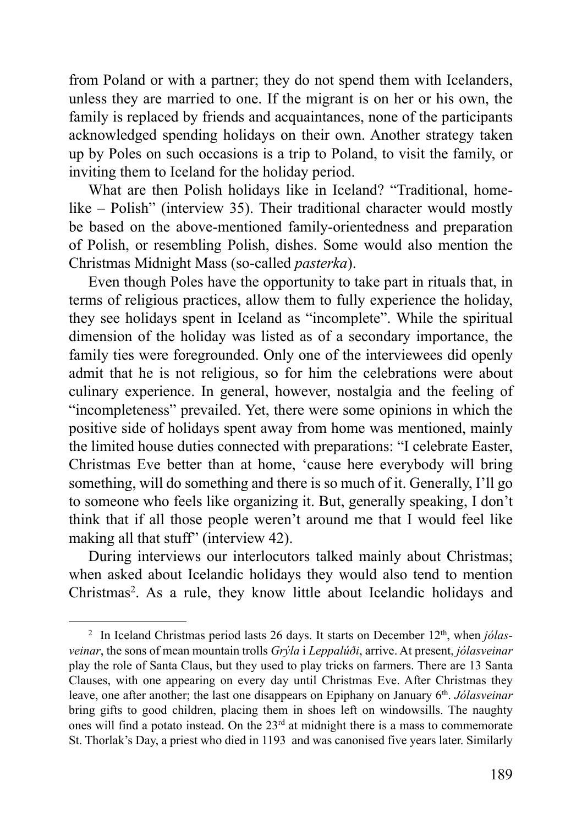from Poland or with a partner; they do not spend them with Icelanders, unless they are married to one. If the migrant is on her or his own, the family is replaced by friends and acquaintances, none of the participants acknowledged spending holidays on their own. Another strategy taken up by Poles on such occasions is a trip to Poland, to visit the family, or inviting them to Iceland for the holiday period.

What are then Polish holidays like in Iceland? "Traditional, homelike – Polish" (interview 35). Their traditional character would mostly be based on the above-mentioned family-orientedness and preparation of Polish, or resembling Polish, dishes. Some would also mention the Christmas Midnight Mass (so-called *pasterka*).

Even though Poles have the opportunity to take part in rituals that, in terms of religious practices, allow them to fully experience the holiday, they see holidays spent in Iceland as "incomplete". While the spiritual dimension of the holiday was listed as of a secondary importance, the family ties were foregrounded. Only one of the interviewees did openly admit that he is not religious, so for him the celebrations were about culinary experience. In general, however, nostalgia and the feeling of "incompleteness" prevailed. Yet, there were some opinions in which the positive side of holidays spent away from home was mentioned, mainly the limited house duties connected with preparations: "I celebrate Easter, Christmas Eve better than at home, 'cause here everybody will bring something, will do something and there is so much of it. Generally, I'll go to someone who feels like organizing it. But, generally speaking, I don't think that if all those people weren't around me that I would feel like making all that stuff" (interview 42).

During interviews our interlocutors talked mainly about Christmas; when asked about Icelandic holidays they would also tend to mention Christmas<sup>2</sup>. As a rule, they know little about Icelandic holidays and

<sup>&</sup>lt;sup>2</sup> In Iceland Christmas period lasts 26 days. It starts on December 12<sup>th</sup>, when *jólasveinar*, the sons of mean mountain trolls *Grýla* i *Leppalúði*, arrive. At present, *jólasveinar* play the role of Santa Claus, but they used to play tricks on farmers. There are 13 Santa Clauses, with one appearing on every day until Christmas Eve. After Christmas they leave, one after another; the last one disappears on Epiphany on January 6<sup>th</sup>. *Jólasveinar* bring gifts to good children, placing them in shoes left on windowsills. The naughty ones will find a potato instead. On the 23<sup>rd</sup> at midnight there is a mass to commemorate St. Thorlak's Day, a priest who died in 1193 and was canonised five years later. Similarly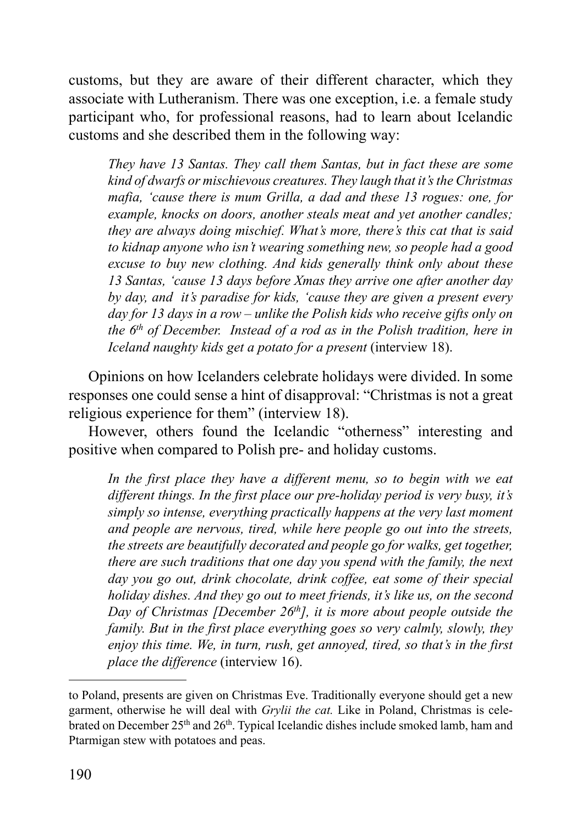customs, but they are aware of their different character, which they associate with Lutheranism. There was one exception, i.e. a female study participant who, for professional reasons, had to learn about Icelandic customs and she described them in the following way:

*They have 13 Santas. They call them Santas, but in fact these are some kind of dwarfs or mischievous creatures. They laugh that it's the Christmas mafia, 'cause there is mum Grilla, a dad and these 13 rogues: one, for example, knocks on doors, another steals meat and yet another candles; they are always doing mischief. What's more, there's this cat that is said to kidnap anyone who isn't wearing something new, so people had a good excuse to buy new clothing. And kids generally think only about these 13 Santas, 'cause 13 days before Xmas they arrive one after another day by day, and it's paradise for kids, 'cause they are given a present every day for 13 days in a row – unlike the Polish kids who receive gifts only on the 6th of December. Instead of a rod as in the Polish tradition, here in Iceland naughty kids get a potato for a present (interview 18).* 

Opinions on how Icelanders celebrate holidays were divided. In some responses one could sense a hint of disapproval: "Christmas is not a great religious experience for them" (interview 18).

However, others found the Icelandic "otherness" interesting and positive when compared to Polish pre- and holiday customs.

*In the first place they have a different menu, so to begin with we eat different things. In the first place our pre-holiday period is very busy, it's simply so intense, everything practically happens at the very last moment and people are nervous, tired, while here people go out into the streets, the streets are beautifully decorated and people go for walks, get together, there are such traditions that one day you spend with the family, the next day you go out, drink chocolate, drink coffee, eat some of their special holiday dishes. And they go out to meet friends, it's like us, on the second Day of Christmas [December 26<sup>th</sup>], it is more about people outside the family. But in the first place everything goes so very calmly, slowly, they enjoy this time. We, in turn, rush, get annoyed, tired, so that's in the first place the difference* (interview 16).

to Poland, presents are given on Christmas Eve. Traditionally everyone should get a new garment, otherwise he will deal with *Grylii the cat.* Like in Poland, Christmas is celebrated on December 25<sup>th</sup> and 26<sup>th</sup>. Typical Icelandic dishes include smoked lamb, ham and Ptarmigan stew with potatoes and peas.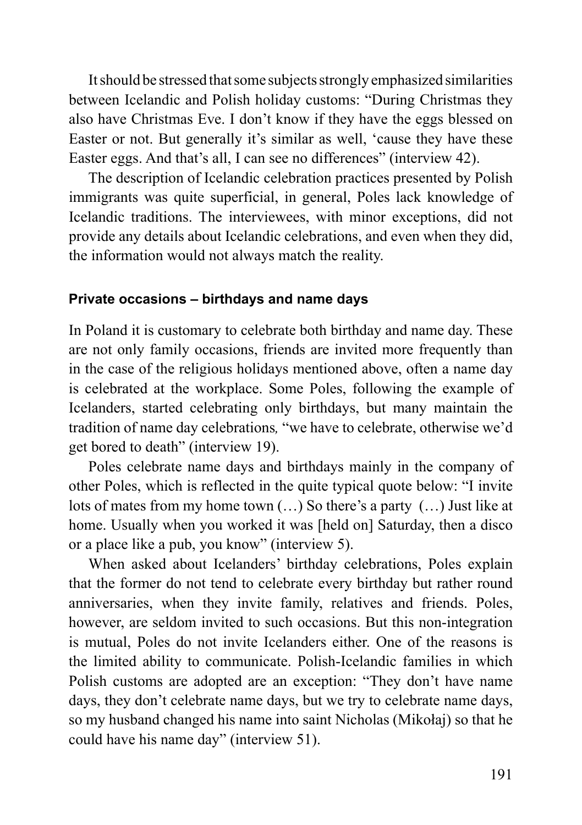It should be stressed that some subjects strongly emphasized similarities between Icelandic and Polish holiday customs: "During Christmas they also have Christmas Eve. I don't know if they have the eggs blessed on Easter or not. But generally it's similar as well, 'cause they have these Easter eggs. And that's all, I can see no differences" (interview 42).

The description of Icelandic celebration practices presented by Polish immigrants was quite superficial, in general, Poles lack knowledge of Icelandic traditions. The interviewees, with minor exceptions, did not provide any details about Icelandic celebrations, and even when they did, the information would not always match the reality.

#### **Private occasions – birthdays and name days**

In Poland it is customary to celebrate both birthday and name day. These are not only family occasions, friends are invited more frequently than in the case of the religious holidays mentioned above, often a name day is celebrated at the workplace. Some Poles, following the example of Icelanders, started celebrating only birthdays, but many maintain the tradition of name day celebrations*,* "we have to celebrate, otherwise we'd get bored to death" (interview 19).

Poles celebrate name days and birthdays mainly in the company of other Poles, which is reflected in the quite typical quote below: "I invite lots of mates from my home town (…) So there's a party (…) Just like at home. Usually when you worked it was [held on] Saturday, then a disco or a place like a pub, you know" (interview 5).

When asked about Icelanders' birthday celebrations, Poles explain that the former do not tend to celebrate every birthday but rather round anniversaries, when they invite family, relatives and friends. Poles, however, are seldom invited to such occasions. But this non-integration is mutual, Poles do not invite Icelanders either. One of the reasons is the limited ability to communicate. Polish-Icelandic families in which Polish customs are adopted are an exception: "They don't have name days, they don't celebrate name days, but we try to celebrate name days, so my husband changed his name into saint Nicholas (Mikołaj) so that he could have his name day" (interview 51).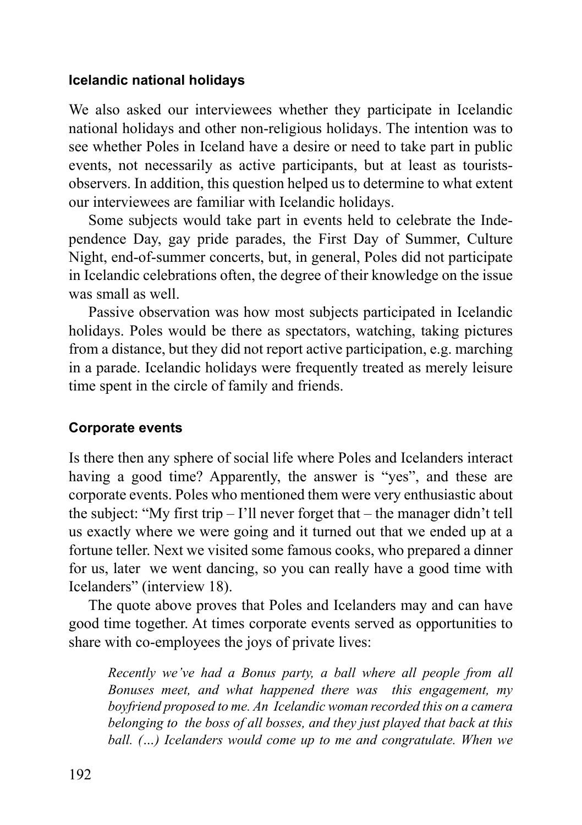### **Icelandic national holidays**

We also asked our interviewees whether they participate in Icelandic national holidays and other non-religious holidays. The intention was to see whether Poles in Iceland have a desire or need to take part in public events, not necessarily as active participants, but at least as touristsobservers. In addition, this question helped us to determine to what extent our interviewees are familiar with Icelandic holidays.

Some subjects would take part in events held to celebrate the Independence Day, gay pride parades, the First Day of Summer, Culture Night, end-of-summer concerts, but, in general, Poles did not participate in Icelandic celebrations often, the degree of their knowledge on the issue was small as well.

Passive observation was how most subjects participated in Icelandic holidays. Poles would be there as spectators, watching, taking pictures from a distance, but they did not report active participation, e.g. marching in a parade. Icelandic holidays were frequently treated as merely leisure time spent in the circle of family and friends.

## **Corporate events**

Is there then any sphere of social life where Poles and Icelanders interact having a good time? Apparently, the answer is "yes", and these are corporate events. Poles who mentioned them were very enthusiastic about the subject: "My first trip  $-1$ "ll never forget that  $-$  the manager didn't tell us exactly where we were going and it turned out that we ended up at a fortune teller. Next we visited some famous cooks, who prepared a dinner for us, later we went dancing, so you can really have a good time with Icelanders" (interview 18).

The quote above proves that Poles and Icelanders may and can have good time together. At times corporate events served as opportunities to share with co-employees the joys of private lives:

*Recently we've had a Bonus party, a ball where all people from all Bonuses meet, and what happened there was this engagement, my boyfriend proposed to me. An Icelandic woman recorded this on a camera belonging to the boss of all bosses, and they just played that back at this ball. (…) Icelanders would come up to me and congratulate. When we*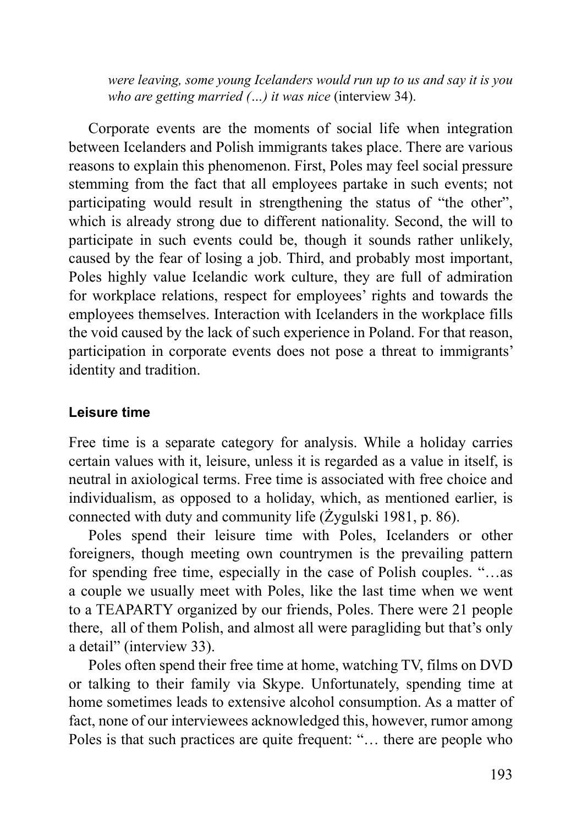*were leaving, some young Icelanders would run up to us and say it is you who are getting married (...) it was nice (interview 34).* 

Corporate events are the moments of social life when integration between Icelanders and Polish immigrants takes place. There are various reasons to explain this phenomenon. First, Poles may feel social pressure stemming from the fact that all employees partake in such events; not participating would result in strengthening the status of "the other", which is already strong due to different nationality. Second, the will to participate in such events could be, though it sounds rather unlikely, caused by the fear of losing a job. Third, and probably most important, Poles highly value Icelandic work culture, they are full of admiration for workplace relations, respect for employees' rights and towards the employees themselves. Interaction with Icelanders in the workplace fills the void caused by the lack of such experience in Poland. For that reason, participation in corporate events does not pose a threat to immigrants' identity and tradition.

## **Leisure time**

Free time is a separate category for analysis. While a holiday carries certain values with it, leisure, unless it is regarded as a value in itself, is neutral in axiological terms. Free time is associated with free choice and individualism, as opposed to a holiday, which, as mentioned earlier, is connected with duty and community life (Żygulski 1981, p. 86).

Poles spend their leisure time with Poles, Icelanders or other foreigners, though meeting own countrymen is the prevailing pattern for spending free time, especially in the case of Polish couples. "…as a couple we usually meet with Poles, like the last time when we went to a TEAPARTY organized by our friends, Poles. There were 21 people there, all of them Polish, and almost all were paragliding but that's only a detail" (interview 33).

Poles often spend their free time at home, watching TV, films on DVD or talking to their family via Skype. Unfortunately, spending time at home sometimes leads to extensive alcohol consumption. As a matter of fact, none of our interviewees acknowledged this, however, rumor among Poles is that such practices are quite frequent: "… there are people who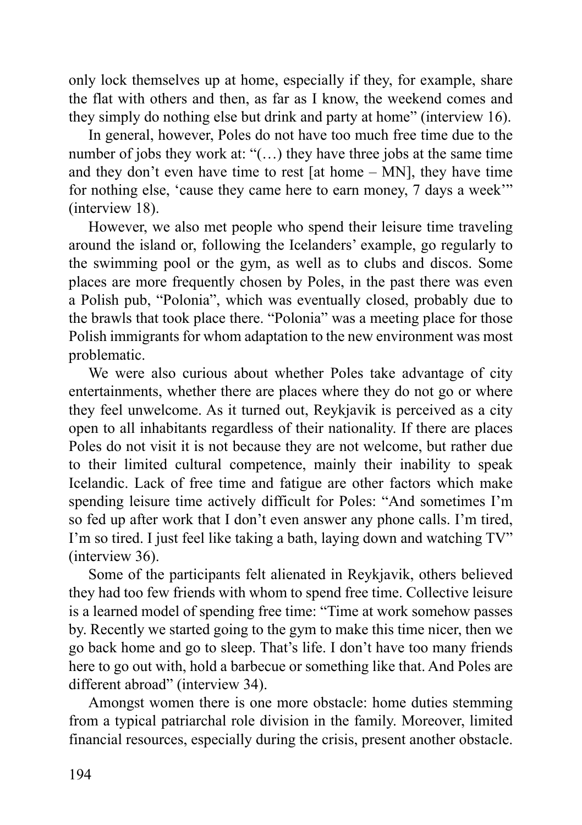only lock themselves up at home, especially if they, for example, share the flat with others and then, as far as I know, the weekend comes and they simply do nothing else but drink and party at home" (interview 16).

In general, however, Poles do not have too much free time due to the number of jobs they work at: "(…) they have three jobs at the same time and they don't even have time to rest [at home – MN], they have time for nothing else, 'cause they came here to earn money, 7 days a week'" (interview 18).

However, we also met people who spend their leisure time traveling around the island or, following the Icelanders' example, go regularly to the swimming pool or the gym, as well as to clubs and discos. Some places are more frequently chosen by Poles, in the past there was even a Polish pub, "Polonia", which was eventually closed, probably due to the brawls that took place there. "Polonia" was a meeting place for those Polish immigrants for whom adaptation to the new environment was most problematic.

We were also curious about whether Poles take advantage of city entertainments, whether there are places where they do not go or where they feel unwelcome. As it turned out, Reykjavik is perceived as a city open to all inhabitants regardless of their nationality. If there are places Poles do not visit it is not because they are not welcome, but rather due to their limited cultural competence, mainly their inability to speak Icelandic. Lack of free time and fatigue are other factors which make spending leisure time actively difficult for Poles: "And sometimes I'm so fed up after work that I don't even answer any phone calls. I'm tired, I'm so tired. I just feel like taking a bath, laying down and watching TV" (interview 36).

Some of the participants felt alienated in Reykjavik, others believed they had too few friends with whom to spend free time. Collective leisure is a learned model of spending free time: "Time at work somehow passes by. Recently we started going to the gym to make this time nicer, then we go back home and go to sleep. That's life. I don't have too many friends here to go out with, hold a barbecue or something like that. And Poles are different abroad" (interview 34).

Amongst women there is one more obstacle: home duties stemming from a typical patriarchal role division in the family. Moreover, limited financial resources, especially during the crisis, present another obstacle.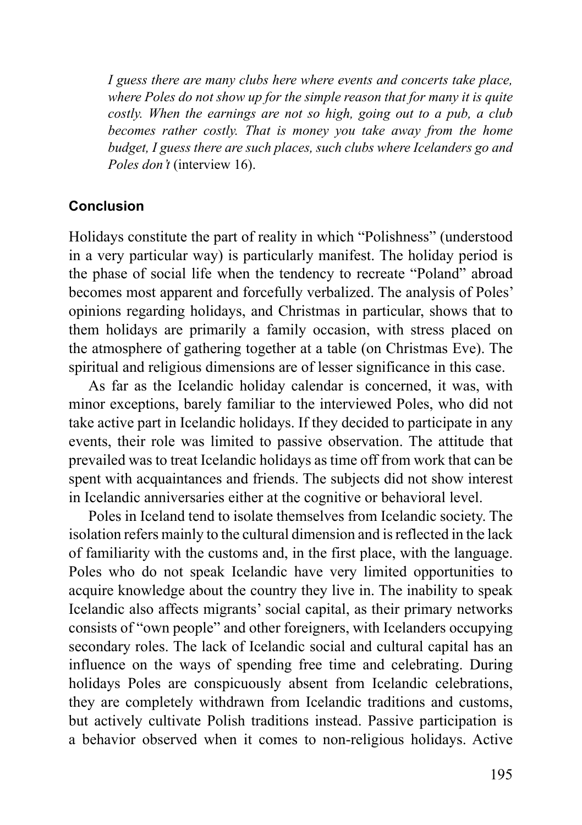*I guess there are many clubs here where events and concerts take place, where Poles do not show up for the simple reason that for many it is quite costly. When the earnings are not so high, going out to a pub, a club becomes rather costly. That is money you take away from the home budget, I guess there are such places, such clubs where Icelanders go and Poles don't* (interview 16).

## **Conclusion**

Holidays constitute the part of reality in which "Polishness" (understood in a very particular way) is particularly manifest. The holiday period is the phase of social life when the tendency to recreate "Poland" abroad becomes most apparent and forcefully verbalized. The analysis of Poles' opinions regarding holidays, and Christmas in particular, shows that to them holidays are primarily a family occasion, with stress placed on the atmosphere of gathering together at a table (on Christmas Eve). The spiritual and religious dimensions are of lesser significance in this case.

As far as the Icelandic holiday calendar is concerned, it was, with minor exceptions, barely familiar to the interviewed Poles, who did not take active part in Icelandic holidays. If they decided to participate in any events, their role was limited to passive observation. The attitude that prevailed was to treat Icelandic holidays as time off from work that can be spent with acquaintances and friends. The subjects did not show interest in Icelandic anniversaries either at the cognitive or behavioral level.

Poles in Iceland tend to isolate themselves from Icelandic society. The isolation refers mainly to the cultural dimension and is reflected in the lack of familiarity with the customs and, in the first place, with the language. Poles who do not speak Icelandic have very limited opportunities to acquire knowledge about the country they live in. The inability to speak Icelandic also affects migrants' social capital, as their primary networks consists of "own people" and other foreigners, with Icelanders occupying secondary roles. The lack of Icelandic social and cultural capital has an influence on the ways of spending free time and celebrating. During holidays Poles are conspicuously absent from Icelandic celebrations, they are completely withdrawn from Icelandic traditions and customs, but actively cultivate Polish traditions instead. Passive participation is a behavior observed when it comes to non-religious holidays. Active